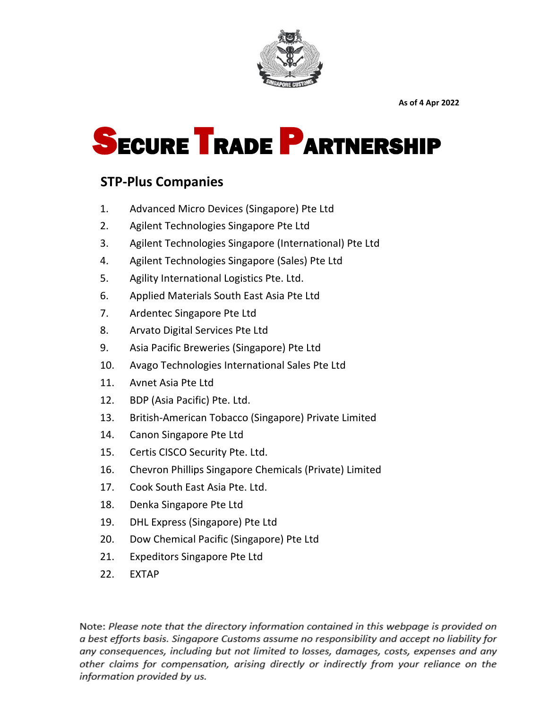

# SECURE TRADE PARTNERSHIP

### **STP-Plus Companies**

- 1. Advanced Micro Devices (Singapore) Pte Ltd
- 2. Agilent Technologies Singapore Pte Ltd
- 3. Agilent Technologies Singapore (International) Pte Ltd
- 4. Agilent Technologies Singapore (Sales) Pte Ltd
- 5. Agility International Logistics Pte. Ltd.
- 6. Applied Materials South East Asia Pte Ltd
- 7. Ardentec Singapore Pte Ltd
- 8. Arvato Digital Services Pte Ltd
- 9. Asia Pacific Breweries (Singapore) Pte Ltd
- 10. Avago Technologies International Sales Pte Ltd
- 11. Avnet Asia Pte Ltd
- 12. BDP (Asia Pacific) Pte. Ltd.
- 13. British-American Tobacco (Singapore) Private Limited
- 14. Canon Singapore Pte Ltd
- 15. Certis CISCO Security Pte. Ltd.
- 16. Chevron Phillips Singapore Chemicals (Private) Limited
- 17. Cook South East Asia Pte. Ltd.
- 18. Denka Singapore Pte Ltd
- 19. DHL Express (Singapore) Pte Ltd
- 20. Dow Chemical Pacific (Singapore) Pte Ltd
- 21. Expeditors Singapore Pte Ltd
- 22. EXTAP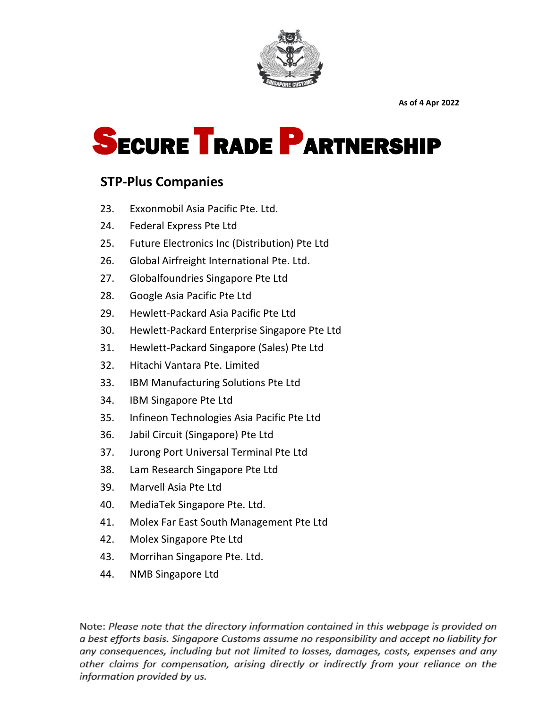

# SECURE TRADE PARTNERSHIP

#### **STP-Plus Companies**

- 23. Exxonmobil Asia Pacific Pte. Ltd.
- 24. Federal Express Pte Ltd
- 25. Future Electronics Inc (Distribution) Pte Ltd
- 26. Global Airfreight International Pte. Ltd.
- 27. Globalfoundries Singapore Pte Ltd
- 28. Google Asia Pacific Pte Ltd
- 29. Hewlett-Packard Asia Pacific Pte Ltd
- 30. Hewlett-Packard Enterprise Singapore Pte Ltd
- 31. Hewlett-Packard Singapore (Sales) Pte Ltd
- 32. Hitachi Vantara Pte. Limited
- 33. IBM Manufacturing Solutions Pte Ltd
- 34. IBM Singapore Pte Ltd
- 35. Infineon Technologies Asia Pacific Pte Ltd
- 36. Jabil Circuit (Singapore) Pte Ltd
- 37. Jurong Port Universal Terminal Pte Ltd
- 38. Lam Research Singapore Pte Ltd
- 39. Marvell Asia Pte Ltd
- 40. MediaTek Singapore Pte. Ltd.
- 41. Molex Far East South Management Pte Ltd
- 42. Molex Singapore Pte Ltd
- 43. Morrihan Singapore Pte. Ltd.
- 44. NMB Singapore Ltd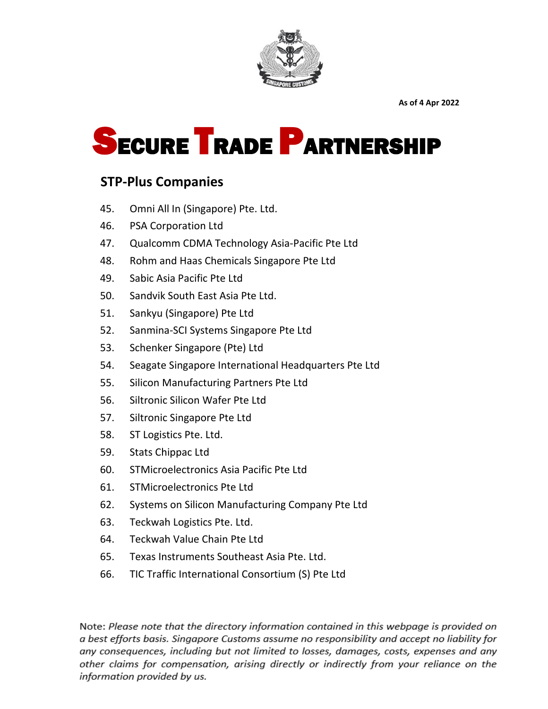

# SECURE TRADE PARTNERSHIP

### **STP-Plus Companies**

- 45. Omni All In (Singapore) Pte. Ltd.
- 46. PSA Corporation Ltd
- 47. Qualcomm CDMA Technology Asia-Pacific Pte Ltd
- 48. Rohm and Haas Chemicals Singapore Pte Ltd
- 49. Sabic Asia Pacific Pte Ltd
- 50. Sandvik South East Asia Pte Ltd.
- 51. Sankyu (Singapore) Pte Ltd
- 52. Sanmina-SCI Systems Singapore Pte Ltd
- 53. Schenker Singapore (Pte) Ltd
- 54. Seagate Singapore International Headquarters Pte Ltd
- 55. Silicon Manufacturing Partners Pte Ltd
- 56. Siltronic Silicon Wafer Pte Ltd
- 57. Siltronic Singapore Pte Ltd
- 58. ST Logistics Pte. Ltd.
- 59. Stats Chippac Ltd
- 60. STMicroelectronics Asia Pacific Pte Ltd
- 61. STMicroelectronics Pte Ltd
- 62. Systems on Silicon Manufacturing Company Pte Ltd
- 63. Teckwah Logistics Pte. Ltd.
- 64. Teckwah Value Chain Pte Ltd
- 65. Texas Instruments Southeast Asia Pte. Ltd.
- 66. TIC Traffic International Consortium (S) Pte Ltd